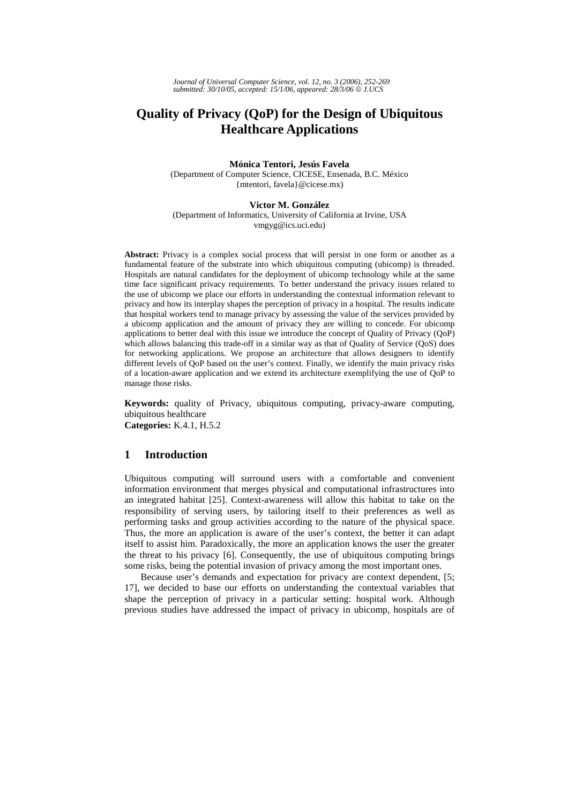# **Quality of Privacy (QoP) for the Design of Ubiquitous Healthcare Applications**

## **Mónica Tentori, Jesús Favela**

(Department of Computer Science, CICESE, Ensenada, B.C. México {mtentori, favela}@cicese.mx)

#### **Victor M. González**

(Department of Informatics, University of California at Irvine, USA vmgyg@ics.uci.edu)

Abstract: Privacy is a complex social process that will persist in one form or another as a fundamental feature of the substrate into which ubiquitous computing (ubicomp) is threaded. Hospitals are natural candidates for the deployment of ubicomp technology while at the same time face significant privacy requirements. To better understand the privacy issues related to the use of ubicomp we place our efforts in understanding the contextual information relevant to privacy and how its interplay shapes the perception of privacy in a hospital. The results indicate that hospital workers tend to manage privacy by assessing the value of the services provided by a ubicomp application and the amount of privacy they are willing to concede. For ubicomp applications to better deal with this issue we introduce the concept of Quality of Privacy (QoP) which allows balancing this trade-off in a similar way as that of Quality of Service (QoS) does for networking applications. We propose an architecture that allows designers to identify different levels of QoP based on the user's context. Finally, we identify the main privacy risks of a location-aware application and we extend its architecture exemplifying the use of QoP to manage those risks.

**Keywords:** quality of Privacy, ubiquitous computing, privacy-aware computing, ubiquitous healthcare **Categories:** K.4.1, H.5.2

## **1 Introduction**

Ubiquitous computing will surround users with a comfortable and convenient information environment that merges physical and computational infrastructures into an integrated habitat [25]. Context-awareness will allow this habitat to take on the responsibility of serving users, by tailoring itself to their preferences as well as performing tasks and group activities according to the nature of the physical space. Thus, the more an application is aware of the user's context, the better it can adapt itself to assist him. Paradoxically, the more an application knows the user the greater the threat to his privacy [6]. Consequently, the use of ubiquitous computing brings some risks, being the potential invasion of privacy among the most important ones.

Because user's demands and expectation for privacy are context dependent, [5; 17], we decided to base our efforts on understanding the contextual variables that shape the perception of privacy in a particular setting: hospital work. Although previous studies have addressed the impact of privacy in ubicomp, hospitals are of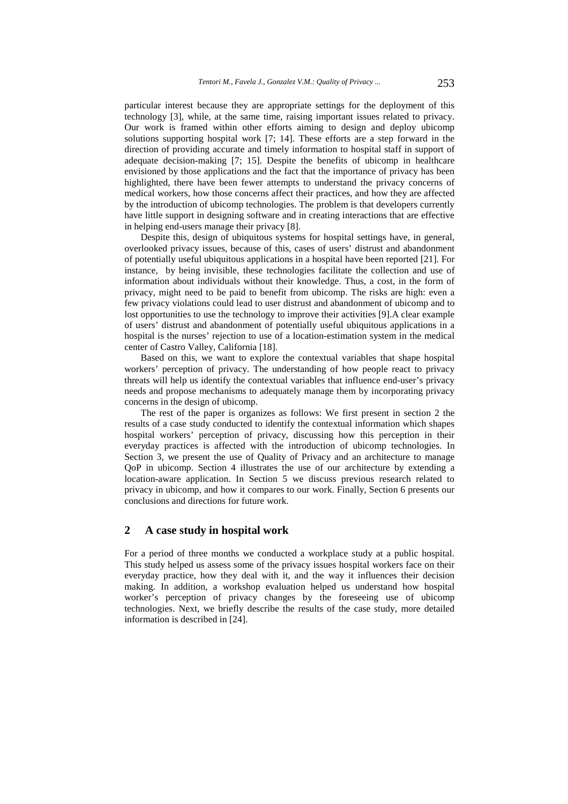particular interest because they are appropriate settings for the deployment of this technology [3], while, at the same time, raising important issues related to privacy. Our work is framed within other efforts aiming to design and deploy ubicomp solutions supporting hospital work [7; 14]. These efforts are a step forward in the direction of providing accurate and timely information to hospital staff in support of adequate decision-making [7; 15]. Despite the benefits of ubicomp in healthcare envisioned by those applications and the fact that the importance of privacy has been highlighted, there have been fewer attempts to understand the privacy concerns of medical workers, how those concerns affect their practices, and how they are affected by the introduction of ubicomp technologies. The problem is that developers currently have little support in designing software and in creating interactions that are effective in helping end-users manage their privacy [8].

Despite this, design of ubiquitous systems for hospital settings have, in general, overlooked privacy issues, because of this, cases of users' distrust and abandonment of potentially useful ubiquitous applications in a hospital have been reported [21]. For instance, by being invisible, these technologies facilitate the collection and use of information about individuals without their knowledge. Thus, a cost, in the form of privacy, might need to be paid to benefit from ubicomp. The risks are high: even a few privacy violations could lead to user distrust and abandonment of ubicomp and to lost opportunities to use the technology to improve their activities [9].A clear example of users' distrust and abandonment of potentially useful ubiquitous applications in a hospital is the nurses' rejection to use of a location-estimation system in the medical center of Castro Valley, California [18].

Based on this, we want to explore the contextual variables that shape hospital workers' perception of privacy. The understanding of how people react to privacy threats will help us identify the contextual variables that influence end-user's privacy needs and propose mechanisms to adequately manage them by incorporating privacy concerns in the design of ubicomp.

The rest of the paper is organizes as follows: We first present in section 2 the results of a case study conducted to identify the contextual information which shapes hospital workers' perception of privacy, discussing how this perception in their everyday practices is affected with the introduction of ubicomp technologies. In Section 3, we present the use of Quality of Privacy and an architecture to manage QoP in ubicomp. Section 4 illustrates the use of our architecture by extending a location-aware application. In Section 5 we discuss previous research related to privacy in ubicomp, and how it compares to our work. Finally, Section 6 presents our conclusions and directions for future work.

### **2 A case study in hospital work**

For a period of three months we conducted a workplace study at a public hospital. This study helped us assess some of the privacy issues hospital workers face on their everyday practice, how they deal with it, and the way it influences their decision making. In addition, a workshop evaluation helped us understand how hospital worker's perception of privacy changes by the foreseeing use of ubicomp technologies. Next, we briefly describe the results of the case study, more detailed information is described in [24].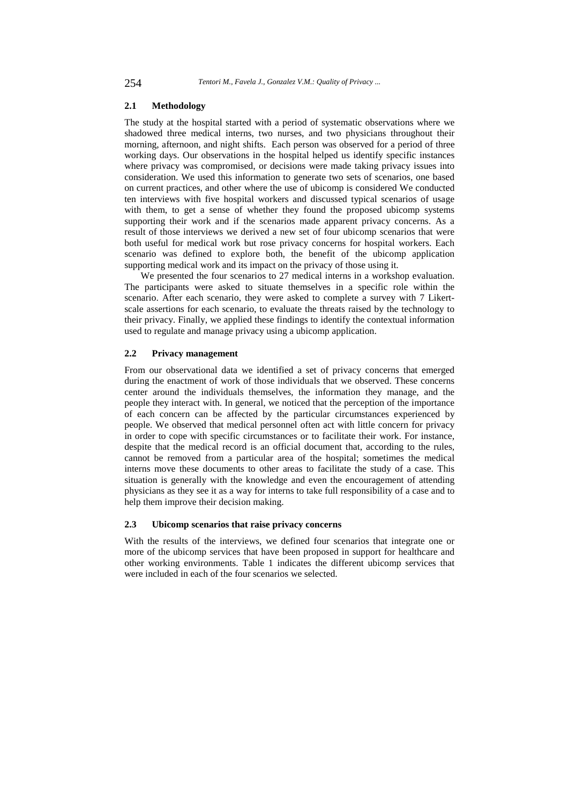## **2.1 Methodology**

The study at the hospital started with a period of systematic observations where we shadowed three medical interns, two nurses, and two physicians throughout their morning, afternoon, and night shifts. Each person was observed for a period of three working days. Our observations in the hospital helped us identify specific instances where privacy was compromised, or decisions were made taking privacy issues into consideration. We used this information to generate two sets of scenarios, one based on current practices, and other where the use of ubicomp is considered We conducted ten interviews with five hospital workers and discussed typical scenarios of usage with them, to get a sense of whether they found the proposed ubicomp systems supporting their work and if the scenarios made apparent privacy concerns. As a result of those interviews we derived a new set of four ubicomp scenarios that were both useful for medical work but rose privacy concerns for hospital workers. Each scenario was defined to explore both, the benefit of the ubicomp application supporting medical work and its impact on the privacy of those using it.

We presented the four scenarios to 27 medical interns in a workshop evaluation. The participants were asked to situate themselves in a specific role within the scenario. After each scenario, they were asked to complete a survey with 7 Likertscale assertions for each scenario, to evaluate the threats raised by the technology to their privacy. Finally, we applied these findings to identify the contextual information used to regulate and manage privacy using a ubicomp application.

### **2.2 Privacy management**

From our observational data we identified a set of privacy concerns that emerged during the enactment of work of those individuals that we observed. These concerns center around the individuals themselves, the information they manage, and the people they interact with. In general, we noticed that the perception of the importance of each concern can be affected by the particular circumstances experienced by people. We observed that medical personnel often act with little concern for privacy in order to cope with specific circumstances or to facilitate their work. For instance, despite that the medical record is an official document that, according to the rules, cannot be removed from a particular area of the hospital; sometimes the medical interns move these documents to other areas to facilitate the study of a case. This situation is generally with the knowledge and even the encouragement of attending physicians as they see it as a way for interns to take full responsibility of a case and to help them improve their decision making.

#### **2.3 Ubicomp scenarios that raise privacy concerns**

With the results of the interviews, we defined four scenarios that integrate one or more of the ubicomp services that have been proposed in support for healthcare and other working environments. Table 1 indicates the different ubicomp services that were included in each of the four scenarios we selected.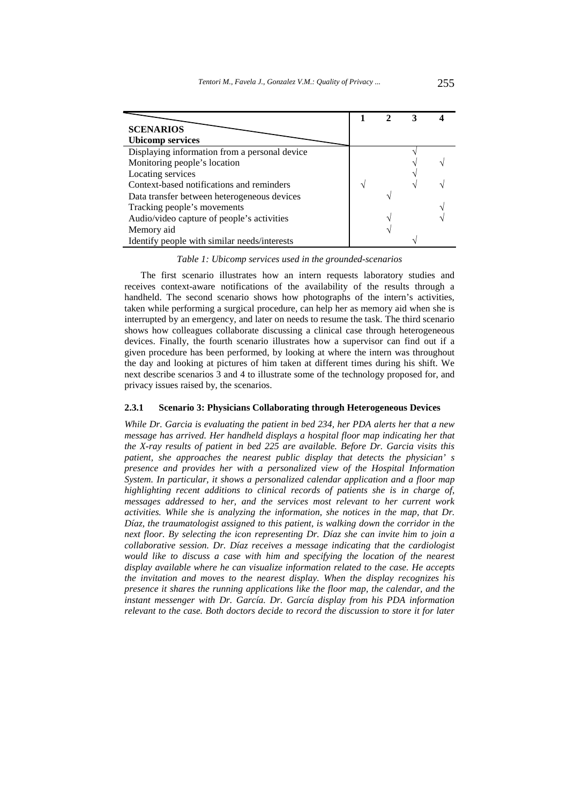| <b>SCENARIOS</b>                              |  |  |
|-----------------------------------------------|--|--|
| <b>Ubicomp services</b>                       |  |  |
| Displaying information from a personal device |  |  |
| Monitoring people's location                  |  |  |
| Locating services                             |  |  |
| Context-based notifications and reminders     |  |  |
| Data transfer between heterogeneous devices   |  |  |
| Tracking people's movements                   |  |  |
| Audio/video capture of people's activities    |  |  |
| Memory aid                                    |  |  |
| Identify people with similar needs/interests  |  |  |

*Table 1: Ubicomp services used in the grounded-scenarios* 

The first scenario illustrates how an intern requests laboratory studies and receives context-aware notifications of the availability of the results through a handheld. The second scenario shows how photographs of the intern's activities, taken while performing a surgical procedure, can help her as memory aid when she is interrupted by an emergency, and later on needs to resume the task. The third scenario shows how colleagues collaborate discussing a clinical case through heterogeneous devices. Finally, the fourth scenario illustrates how a supervisor can find out if a given procedure has been performed, by looking at where the intern was throughout the day and looking at pictures of him taken at different times during his shift. We next describe scenarios 3 and 4 to illustrate some of the technology proposed for, and privacy issues raised by, the scenarios.

### **2.3.1 Scenario 3: Physicians Collaborating through Heterogeneous Devices**

*While Dr. Garcia is evaluating the patient in bed 234, her PDA alerts her that a new message has arrived. Her handheld displays a hospital floor map indicating her that the X-ray results of patient in bed 225 are available. Before Dr. Garcia visits this patient, she approaches the nearest public display that detects the physician' s presence and provides her with a personalized view of the Hospital Information System. In particular, it shows a personalized calendar application and a floor map highlighting recent additions to clinical records of patients she is in charge of, messages addressed to her, and the services most relevant to her current work activities. While she is analyzing the information, she notices in the map, that Dr. Díaz, the traumatologist assigned to this patient, is walking down the corridor in the next floor. By selecting the icon representing Dr. Díaz she can invite him to join a collaborative session. Dr. Díaz receives a message indicating that the cardiologist would like to discuss a case with him and specifying the location of the nearest display available where he can visualize information related to the case. He accepts the invitation and moves to the nearest display. When the display recognizes his presence it shares the running applications like the floor map, the calendar, and the instant messenger with Dr. García. Dr. García display from his PDA information relevant to the case. Both doctors decide to record the discussion to store it for later*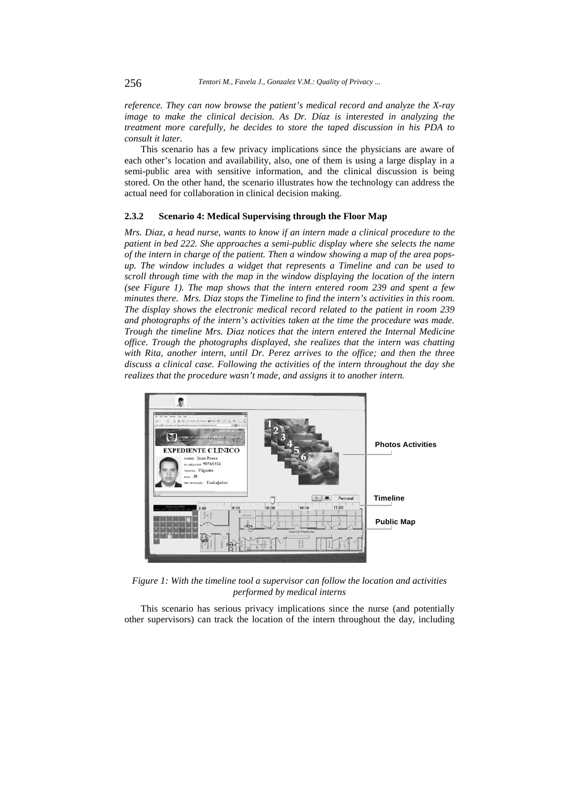*reference. They can now browse the patient's medical record and analyze the X-ray image to make the clinical decision. As Dr. Díaz is interested in analyzing the treatment more carefully, he decides to store the taped discussion in his PDA to consult it later.* 

This scenario has a few privacy implications since the physicians are aware of each other's location and availability, also, one of them is using a large display in a semi-public area with sensitive information, and the clinical discussion is being stored. On the other hand, the scenario illustrates how the technology can address the actual need for collaboration in clinical decision making.

#### **2.3.2 Scenario 4: Medical Supervising through the Floor Map**

*Mrs. Diaz, a head nurse, wants to know if an intern made a clinical procedure to the patient in bed 222. She approaches a semi-public display where she selects the name of the intern in charge of the patient. Then a window showing a map of the area popsup. The window includes a widget that represents a Timeline and can be used to scroll through time with the map in the window displaying the location of the intern (see Figure 1). The map shows that the intern entered room 239 and spent a few minutes there. Mrs. Diaz stops the Timeline to find the intern's activities in this room. The display shows the electronic medical record related to the patient in room 239 and photographs of the intern's activities taken at the time the procedure was made. Trough the timeline Mrs. Diaz notices that the intern entered the Internal Medicine office. Trough the photographs displayed, she realizes that the intern was chatting with Rita, another intern, until Dr. Perez arrives to the office; and then the three discuss a clinical case. Following the activities of the intern throughout the day she realizes that the procedure wasn't made, and assigns it to another intern.* 



*Figure 1: With the timeline tool a supervisor can follow the location and activities performed by medical interns* 

This scenario has serious privacy implications since the nurse (and potentially other supervisors) can track the location of the intern throughout the day, including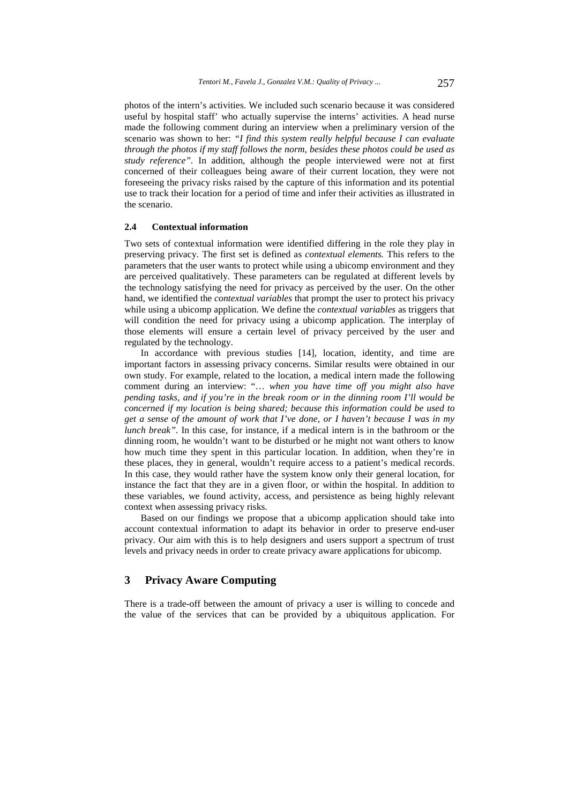photos of the intern's activities. We included such scenario because it was considered useful by hospital staff' who actually supervise the interns' activities. A head nurse made the following comment during an interview when a preliminary version of the scenario was shown to her: *"I find this system really helpful because I can evaluate through the photos if my staff follows the norm, besides these photos could be used as study reference".* In addition, although the people interviewed were not at first concerned of their colleagues being aware of their current location, they were not foreseeing the privacy risks raised by the capture of this information and its potential use to track their location for a period of time and infer their activities as illustrated in the scenario.

### **2.4 Contextual information**

Two sets of contextual information were identified differing in the role they play in preserving privacy. The first set is defined as *contextual elements.* This refers to the parameters that the user wants to protect while using a ubicomp environment and they are perceived qualitatively. These parameters can be regulated at different levels by the technology satisfying the need for privacy as perceived by the user. On the other hand, we identified the *contextual variables* that prompt the user to protect his privacy while using a ubicomp application. We define the *contextual variables* as triggers that will condition the need for privacy using a ubicomp application. The interplay of those elements will ensure a certain level of privacy perceived by the user and regulated by the technology.

In accordance with previous studies [14], location, identity, and time are important factors in assessing privacy concerns. Similar results were obtained in our own study. For example, related to the location, a medical intern made the following comment during an interview: "… *when you have time off you might also have pending tasks, and if you're in the break room or in the dinning room I'll would be concerned if my location is being shared; because this information could be used to get a sense of the amount of work that I've done, or I haven't because I was in my lunch break"*. In this case, for instance, if a medical intern is in the bathroom or the dinning room, he wouldn't want to be disturbed or he might not want others to know how much time they spent in this particular location. In addition, when they're in these places, they in general, wouldn't require access to a patient's medical records. In this case, they would rather have the system know only their general location, for instance the fact that they are in a given floor, or within the hospital. In addition to these variables, we found activity, access, and persistence as being highly relevant context when assessing privacy risks.

Based on our findings we propose that a ubicomp application should take into account contextual information to adapt its behavior in order to preserve end-user privacy. Our aim with this is to help designers and users support a spectrum of trust levels and privacy needs in order to create privacy aware applications for ubicomp.

# **3 Privacy Aware Computing**

There is a trade-off between the amount of privacy a user is willing to concede and the value of the services that can be provided by a ubiquitous application. For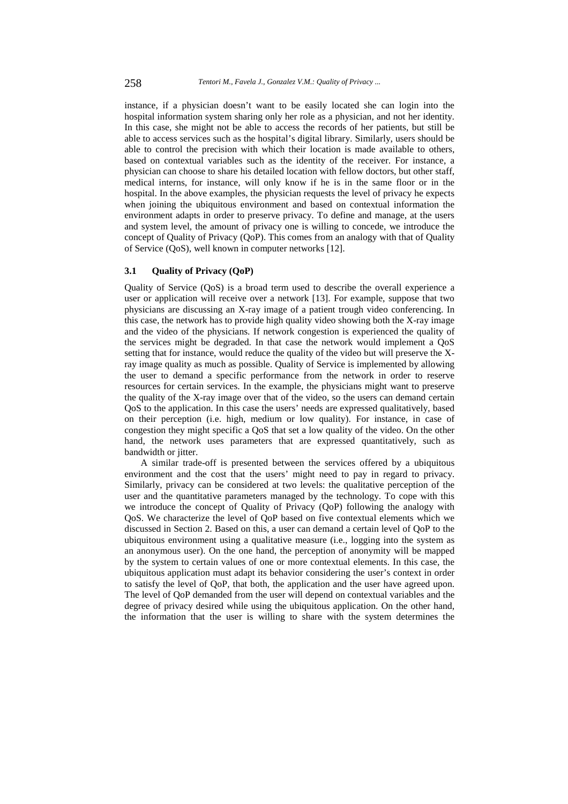instance, if a physician doesn't want to be easily located she can login into the hospital information system sharing only her role as a physician, and not her identity. In this case, she might not be able to access the records of her patients, but still be able to access services such as the hospital's digital library. Similarly, users should be able to control the precision with which their location is made available to others, based on contextual variables such as the identity of the receiver. For instance, a physician can choose to share his detailed location with fellow doctors, but other staff, medical interns, for instance, will only know if he is in the same floor or in the hospital. In the above examples, the physician requests the level of privacy he expects when joining the ubiquitous environment and based on contextual information the environment adapts in order to preserve privacy. To define and manage, at the users and system level, the amount of privacy one is willing to concede, we introduce the concept of Quality of Privacy (QoP). This comes from an analogy with that of Quality of Service (QoS), well known in computer networks [12].

### **3.1 Quality of Privacy (QoP)**

Quality of Service (QoS) is a broad term used to describe the overall experience a user or application will receive over a network [13]. For example, suppose that two physicians are discussing an X-ray image of a patient trough video conferencing. In this case, the network has to provide high quality video showing both the X-ray image and the video of the physicians. If network congestion is experienced the quality of the services might be degraded. In that case the network would implement a QoS setting that for instance, would reduce the quality of the video but will preserve the Xray image quality as much as possible. Quality of Service is implemented by allowing the user to demand a specific performance from the network in order to reserve resources for certain services. In the example, the physicians might want to preserve the quality of the X-ray image over that of the video, so the users can demand certain QoS to the application. In this case the users' needs are expressed qualitatively, based on their perception (i.e. high, medium or low quality). For instance, in case of congestion they might specific a QoS that set a low quality of the video. On the other hand, the network uses parameters that are expressed quantitatively, such as bandwidth or jitter.

A similar trade-off is presented between the services offered by a ubiquitous environment and the cost that the users' might need to pay in regard to privacy. Similarly, privacy can be considered at two levels: the qualitative perception of the user and the quantitative parameters managed by the technology. To cope with this we introduce the concept of Quality of Privacy (QoP) following the analogy with QoS. We characterize the level of QoP based on five contextual elements which we discussed in Section 2. Based on this, a user can demand a certain level of QoP to the ubiquitous environment using a qualitative measure (i.e., logging into the system as an anonymous user). On the one hand, the perception of anonymity will be mapped by the system to certain values of one or more contextual elements. In this case, the ubiquitous application must adapt its behavior considering the user's context in order to satisfy the level of QoP, that both, the application and the user have agreed upon. The level of QoP demanded from the user will depend on contextual variables and the degree of privacy desired while using the ubiquitous application. On the other hand, the information that the user is willing to share with the system determines the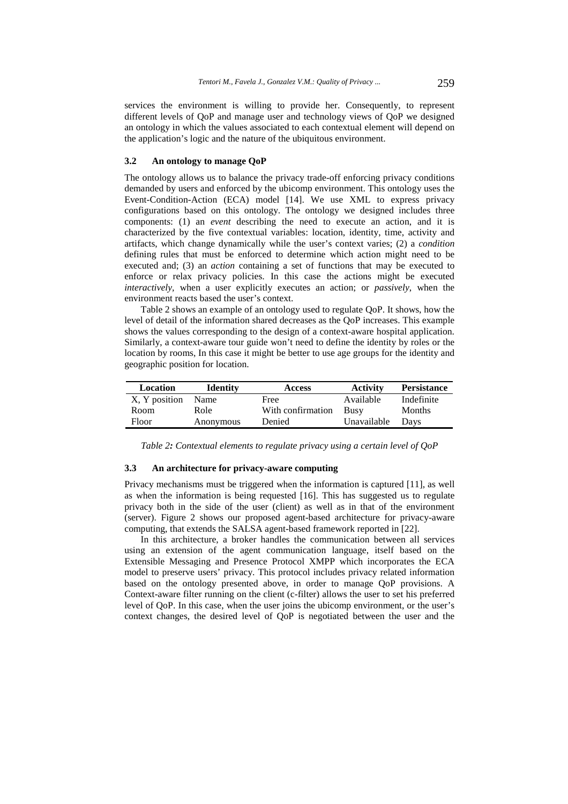services the environment is willing to provide her. Consequently, to represent different levels of QoP and manage user and technology views of QoP we designed an ontology in which the values associated to each contextual element will depend on the application's logic and the nature of the ubiquitous environment.

### **3.2 An ontology to manage QoP**

The ontology allows us to balance the privacy trade-off enforcing privacy conditions demanded by users and enforced by the ubicomp environment. This ontology uses the Event-Condition-Action (ECA) model [14]. We use XML to express privacy configurations based on this ontology. The ontology we designed includes three components: (1) an *event* describing the need to execute an action, and it is characterized by the five contextual variables: location, identity, time, activity and artifacts, which change dynamically while the user's context varies; (2) a *condition* defining rules that must be enforced to determine which action might need to be executed and; (3) an *action* containing a set of functions that may be executed to enforce or relax privacy policies. In this case the actions might be executed *interactively,* when a user explicitly executes an action; or *passively*, when the environment reacts based the user's context.

Table 2 shows an example of an ontology used to regulate QoP. It shows, how the level of detail of the information shared decreases as the QoP increases. This example shows the values corresponding to the design of a context-aware hospital application. Similarly, a context-aware tour guide won't need to define the identity by roles or the location by rooms, In this case it might be better to use age groups for the identity and geographic position for location.

| Location      | <b>Identity</b> | <b>Access</b>     | <b>Activity</b> | <b>Persistance</b> |
|---------------|-----------------|-------------------|-----------------|--------------------|
| X, Y position | Name            | Free              | Available       | Indefinite         |
| Room          | Role            | With confirmation | <b>Busy</b>     | <b>Months</b>      |
| Floor         | Anonymous       | Denied            | Unavailable     | Davs               |

*Table 2: Contextual elements to regulate privacy using a certain level of QoP* 

#### **3.3 An architecture for privacy-aware computing**

Privacy mechanisms must be triggered when the information is captured [11], as well as when the information is being requested [16]. This has suggested us to regulate privacy both in the side of the user (client) as well as in that of the environment (server). Figure 2 shows our proposed agent-based architecture for privacy-aware computing, that extends the SALSA agent-based framework reported in [22].

In this architecture, a broker handles the communication between all services using an extension of the agent communication language, itself based on the Extensible Messaging and Presence Protocol XMPP which incorporates the ECA model to preserve users' privacy. This protocol includes privacy related information based on the ontology presented above, in order to manage QoP provisions. A Context-aware filter running on the client (c-filter) allows the user to set his preferred level of QoP. In this case, when the user joins the ubicomp environment, or the user's context changes, the desired level of QoP is negotiated between the user and the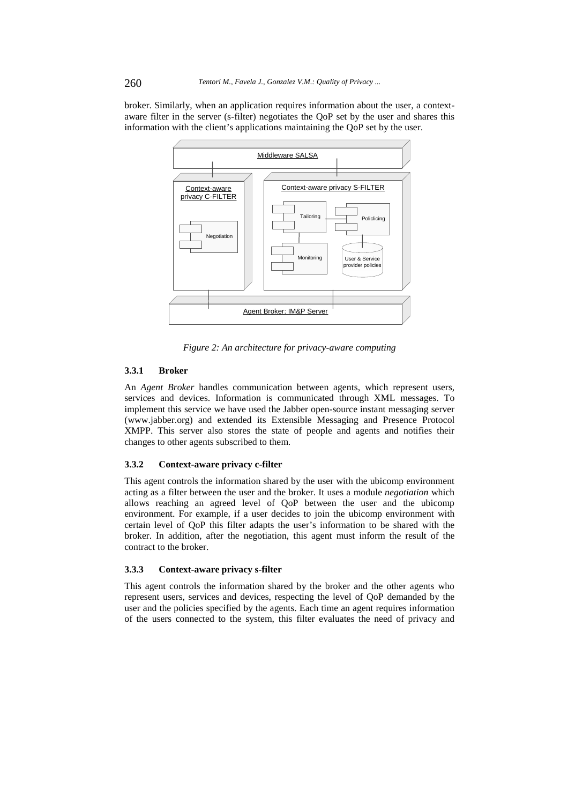broker. Similarly, when an application requires information about the user, a contextaware filter in the server (s-filter) negotiates the QoP set by the user and shares this information with the client's applications maintaining the QoP set by the user.



*Figure 2: An architecture for privacy-aware computing* 

## **3.3.1 Broker**

An *Agent Broker* handles communication between agents, which represent users, services and devices. Information is communicated through XML messages. To implement this service we have used the Jabber open-source instant messaging server (www.jabber.org) and extended its Extensible Messaging and Presence Protocol XMPP. This server also stores the state of people and agents and notifies their changes to other agents subscribed to them.

### **3.3.2 Context-aware privacy c-filter**

This agent controls the information shared by the user with the ubicomp environment acting as a filter between the user and the broker. It uses a module *negotiation* which allows reaching an agreed level of QoP between the user and the ubicomp environment. For example, if a user decides to join the ubicomp environment with certain level of QoP this filter adapts the user's information to be shared with the broker. In addition, after the negotiation, this agent must inform the result of the contract to the broker.

#### **3.3.3 Context-aware privacy s-filter**

This agent controls the information shared by the broker and the other agents who represent users, services and devices, respecting the level of QoP demanded by the user and the policies specified by the agents. Each time an agent requires information of the users connected to the system, this filter evaluates the need of privacy and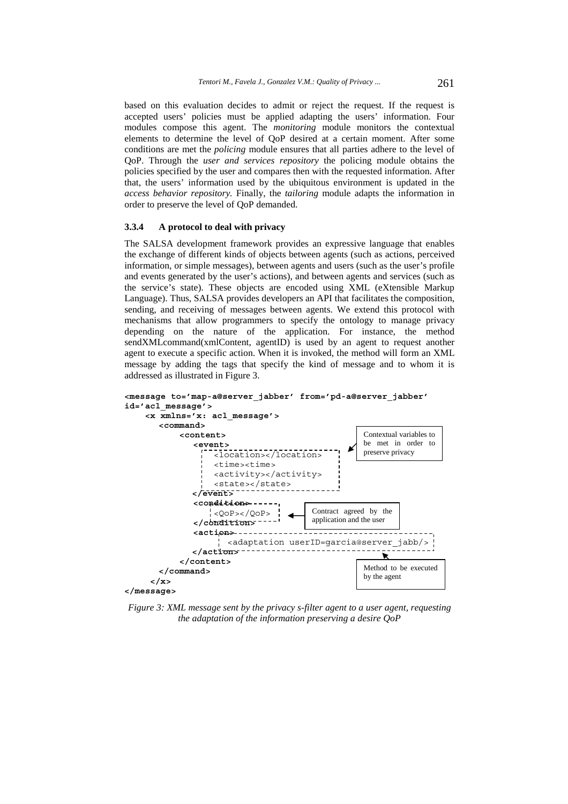based on this evaluation decides to admit or reject the request. If the request is accepted users' policies must be applied adapting the users' information. Four modules compose this agent. The *monitoring* module monitors the contextual elements to determine the level of QoP desired at a certain moment. After some conditions are met the *policing* module ensures that all parties adhere to the level of QoP. Through the *user and services repository* the policing module obtains the policies specified by the user and compares then with the requested information. After that, the users' information used by the ubiquitous environment is updated in the *access behavior repository.* Finally, the *tailoring* module adapts the information in order to preserve the level of QoP demanded.

#### **3.3.4 A protocol to deal with privacy**

The SALSA development framework provides an expressive language that enables the exchange of different kinds of objects between agents (such as actions, perceived information, or simple messages), between agents and users (such as the user's profile and events generated by the user's actions), and between agents and services (such as the service's state). These objects are encoded using XML (eXtensible Markup Language). Thus, SALSA provides developers an API that facilitates the composition, sending, and receiving of messages between agents. We extend this protocol with mechanisms that allow programmers to specify the ontology to manage privacy depending on the nature of the application. For instance, the method sendXMLcommand(xmlContent, agentID) is used by an agent to request another agent to execute a specific action. When it is invoked, the method will form an XML message by adding the tags that specify the kind of message and to whom it is addressed as illustrated in Figure 3.



*Figure 3: XML message sent by the privacy s-filter agent to a user agent, requesting the adaptation of the information preserving a desire QoP*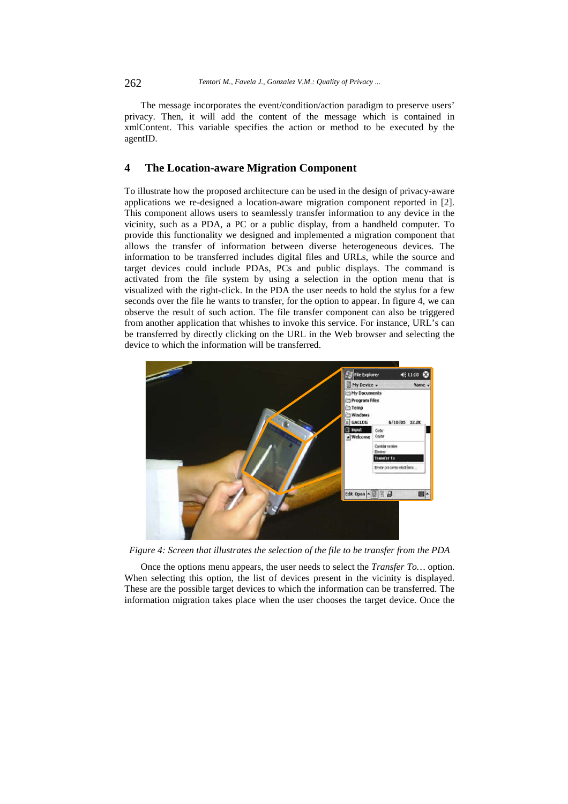The message incorporates the event/condition/action paradigm to preserve users' privacy. Then, it will add the content of the message which is contained in xmlContent. This variable specifies the action or method to be executed by the agentID.

### **4 The Location-aware Migration Component**

To illustrate how the proposed architecture can be used in the design of privacy-aware applications we re-designed a location-aware migration component reported in [2]. This component allows users to seamlessly transfer information to any device in the vicinity, such as a PDA, a PC or a public display, from a handheld computer. To provide this functionality we designed and implemented a migration component that allows the transfer of information between diverse heterogeneous devices. The information to be transferred includes digital files and URLs, while the source and target devices could include PDAs, PCs and public displays. The command is activated from the file system by using a selection in the option menu that is visualized with the right-click. In the PDA the user needs to hold the stylus for a few seconds over the file he wants to transfer, for the option to appear. In figure 4, we can observe the result of such action. The file transfer component can also be triggered from another application that whishes to invoke this service. For instance, URL's can be transferred by directly clicking on the URL in the Web browser and selecting the device to which the information will be transferred.



*Figure 4: Screen that illustrates the selection of the file to be transfer from the PDA* 

Once the options menu appears, the user needs to select the *Transfer To…* option. When selecting this option, the list of devices present in the vicinity is displayed. These are the possible target devices to which the information can be transferred. The information migration takes place when the user chooses the target device. Once the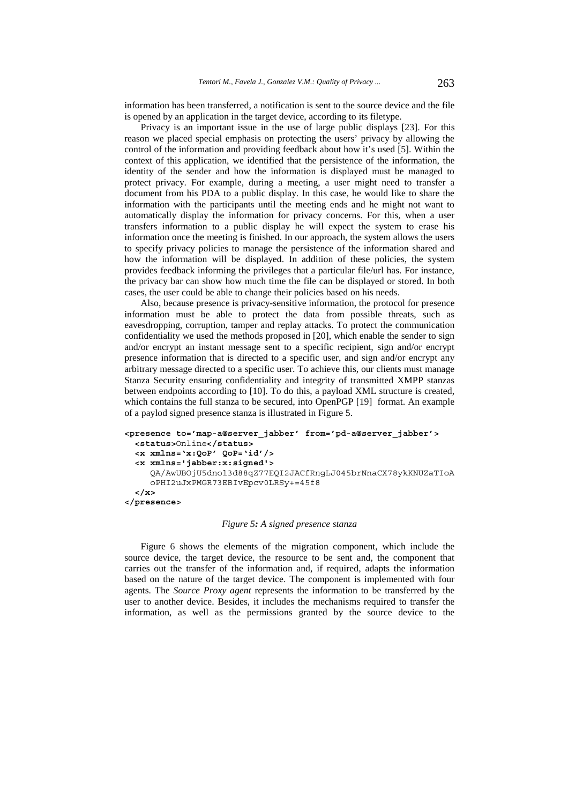information has been transferred, a notification is sent to the source device and the file is opened by an application in the target device, according to its filetype.

Privacy is an important issue in the use of large public displays [23]. For this reason we placed special emphasis on protecting the users' privacy by allowing the control of the information and providing feedback about how it's used [5]. Within the context of this application, we identified that the persistence of the information, the identity of the sender and how the information is displayed must be managed to protect privacy. For example, during a meeting, a user might need to transfer a document from his PDA to a public display. In this case, he would like to share the information with the participants until the meeting ends and he might not want to automatically display the information for privacy concerns. For this, when a user transfers information to a public display he will expect the system to erase his information once the meeting is finished. In our approach, the system allows the users to specify privacy policies to manage the persistence of the information shared and how the information will be displayed. In addition of these policies, the system provides feedback informing the privileges that a particular file/url has. For instance, the privacy bar can show how much time the file can be displayed or stored. In both cases, the user could be able to change their policies based on his needs.

Also, because presence is privacy-sensitive information, the protocol for presence information must be able to protect the data from possible threats, such as eavesdropping, corruption, tamper and replay attacks. To protect the communication confidentiality we used the methods proposed in [20], which enable the sender to sign and/or encrypt an instant message sent to a specific recipient, sign and/or encrypt presence information that is directed to a specific user, and sign and/or encrypt any arbitrary message directed to a specific user. To achieve this, our clients must manage Stanza Security ensuring confidentiality and integrity of transmitted XMPP stanzas between endpoints according to [10]. To do this, a payload XML structure is created, which contains the full stanza to be secured, into OpenPGP [19] format. An example of a paylod signed presence stanza is illustrated in Figure 5.

```
<presence to='map-a@server_jabber' from='pd-a@server_jabber'> 
  <status>Online</status> 
  <x xmlns='x:QoP' QoP='id'/> 
  <x xmlns='jabber:x:signed'> 
     QA/AwUBOjU5dnol3d88qZ77EQI2JACfRngLJ045brNnaCX78ykKNUZaTIoA
     oPHI2uJxPMGR73EBIvEpcv0LRSy+=45f8
  </x> 
</presence>
```
#### *Figure 5: A signed presence stanza*

Figure 6 shows the elements of the migration component, which include the source device, the target device, the resource to be sent and, the component that carries out the transfer of the information and, if required, adapts the information based on the nature of the target device. The component is implemented with four agents. The *Source Proxy agent* represents the information to be transferred by the user to another device. Besides, it includes the mechanisms required to transfer the information, as well as the permissions granted by the source device to the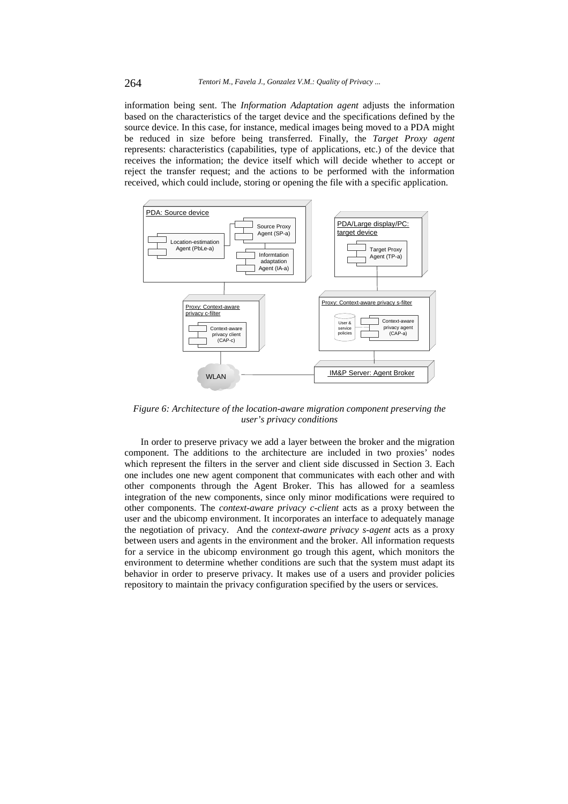information being sent. The *Information Adaptation agent* adjusts the information based on the characteristics of the target device and the specifications defined by the source device. In this case, for instance, medical images being moved to a PDA might be reduced in size before being transferred. Finally, the *Target Proxy agent* represents: characteristics (capabilities, type of applications, etc.) of the device that receives the information; the device itself which will decide whether to accept or reject the transfer request; and the actions to be performed with the information received, which could include, storing or opening the file with a specific application.



*Figure 6: Architecture of the location-aware migration component preserving the user's privacy conditions* 

In order to preserve privacy we add a layer between the broker and the migration component. The additions to the architecture are included in two proxies' nodes which represent the filters in the server and client side discussed in Section 3. Each one includes one new agent component that communicates with each other and with other components through the Agent Broker. This has allowed for a seamless integration of the new components, since only minor modifications were required to other components. The *context-aware privacy c-client* acts as a proxy between the user and the ubicomp environment. It incorporates an interface to adequately manage the negotiation of privacy. And the *context-aware privacy s-agent* acts as a proxy between users and agents in the environment and the broker. All information requests for a service in the ubicomp environment go trough this agent, which monitors the environment to determine whether conditions are such that the system must adapt its behavior in order to preserve privacy. It makes use of a users and provider policies repository to maintain the privacy configuration specified by the users or services.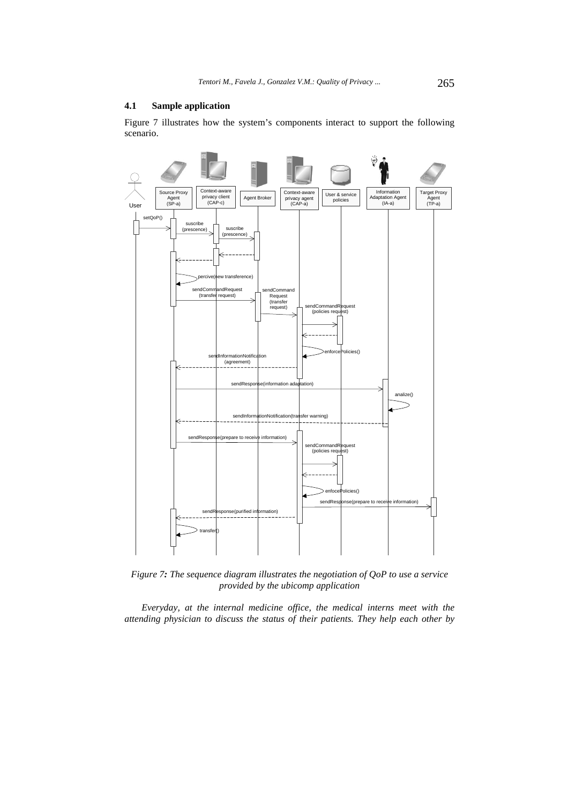### **4.1 Sample application**

Figure 7 illustrates how the system's components interact to support the following scenario.



*Figure 7: The sequence diagram illustrates the negotiation of QoP to use a service provided by the ubicomp application* 

*Everyday, at the internal medicine office, the medical interns meet with the attending physician to discuss the status of their patients. They help each other by*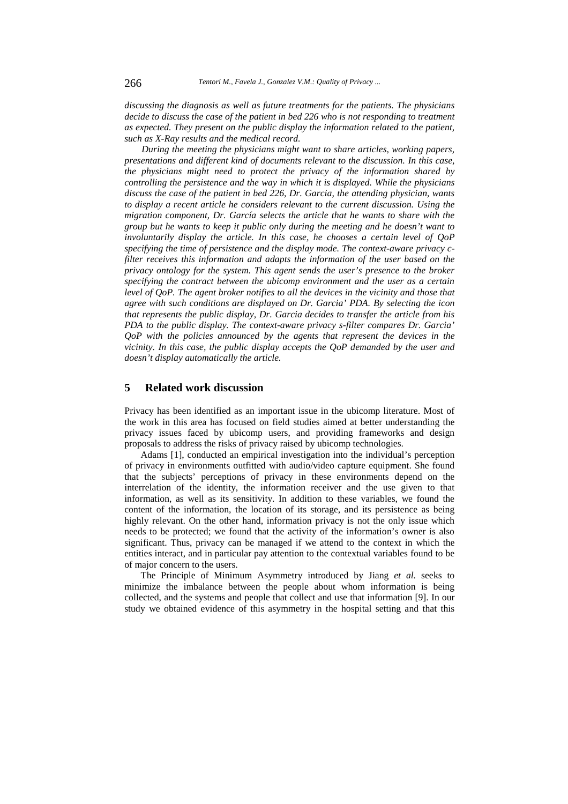*discussing the diagnosis as well as future treatments for the patients. The physicians decide to discuss the case of the patient in bed 226 who is not responding to treatment as expected. They present on the public display the information related to the patient, such as X-Ray results and the medical record.* 

*During the meeting the physicians might want to share articles, working papers, presentations and different kind of documents relevant to the discussion. In this case, the physicians might need to protect the privacy of the information shared by controlling the persistence and the way in which it is displayed. While the physicians discuss the case of the patient in bed 226, Dr. Garcia, the attending physician, wants to display a recent article he considers relevant to the current discussion. Using the migration component, Dr. García selects the article that he wants to share with the group but he wants to keep it public only during the meeting and he doesn't want to involuntarily display the article. In this case, he chooses a certain level of QoP specifying the time of persistence and the display mode. The context-aware privacy cfilter receives this information and adapts the information of the user based on the privacy ontology for the system. This agent sends the user's presence to the broker specifying the contract between the ubicomp environment and the user as a certain level of QoP. The agent broker notifies to all the devices in the vicinity and those that agree with such conditions are displayed on Dr. Garcia' PDA. By selecting the icon that represents the public display, Dr. Garcia decides to transfer the article from his PDA to the public display. The context-aware privacy s-filter compares Dr. Garcia' QoP with the policies announced by the agents that represent the devices in the vicinity. In this case, the public display accepts the QoP demanded by the user and doesn't display automatically the article.*

# **5 Related work discussion**

Privacy has been identified as an important issue in the ubicomp literature. Most of the work in this area has focused on field studies aimed at better understanding the privacy issues faced by ubicomp users, and providing frameworks and design proposals to address the risks of privacy raised by ubicomp technologies.

Adams [1], conducted an empirical investigation into the individual's perception of privacy in environments outfitted with audio/video capture equipment. She found that the subjects' perceptions of privacy in these environments depend on the interrelation of the identity, the information receiver and the use given to that information, as well as its sensitivity. In addition to these variables, we found the content of the information, the location of its storage, and its persistence as being highly relevant. On the other hand, information privacy is not the only issue which needs to be protected; we found that the activity of the information's owner is also significant. Thus, privacy can be managed if we attend to the context in which the entities interact, and in particular pay attention to the contextual variables found to be of major concern to the users.

The Principle of Minimum Asymmetry introduced by Jiang *et al.* seeks to minimize the imbalance between the people about whom information is being collected, and the systems and people that collect and use that information [9]. In our study we obtained evidence of this asymmetry in the hospital setting and that this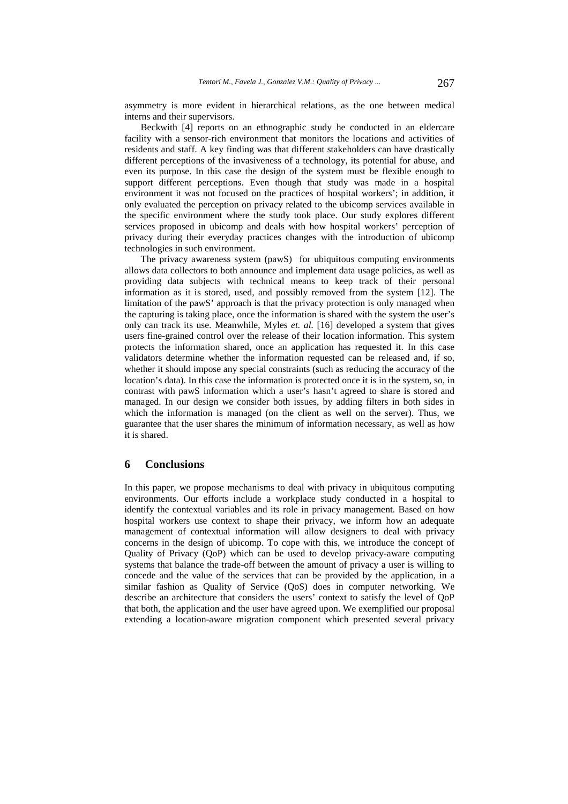asymmetry is more evident in hierarchical relations, as the one between medical interns and their supervisors.

Beckwith [4] reports on an ethnographic study he conducted in an eldercare facility with a sensor-rich environment that monitors the locations and activities of residents and staff. A key finding was that different stakeholders can have drastically different perceptions of the invasiveness of a technology, its potential for abuse, and even its purpose. In this case the design of the system must be flexible enough to support different perceptions. Even though that study was made in a hospital environment it was not focused on the practices of hospital workers'; in addition, it only evaluated the perception on privacy related to the ubicomp services available in the specific environment where the study took place. Our study explores different services proposed in ubicomp and deals with how hospital workers' perception of privacy during their everyday practices changes with the introduction of ubicomp technologies in such environment.

The privacy awareness system (pawS) for ubiquitous computing environments allows data collectors to both announce and implement data usage policies, as well as providing data subjects with technical means to keep track of their personal information as it is stored, used, and possibly removed from the system [12]. The limitation of the pawS' approach is that the privacy protection is only managed when the capturing is taking place, once the information is shared with the system the user's only can track its use. Meanwhile, Myles *et. al.* [16] developed a system that gives users fine-grained control over the release of their location information. This system protects the information shared, once an application has requested it. In this case validators determine whether the information requested can be released and, if so, whether it should impose any special constraints (such as reducing the accuracy of the location's data). In this case the information is protected once it is in the system, so, in contrast with pawS information which a user's hasn't agreed to share is stored and managed. In our design we consider both issues, by adding filters in both sides in which the information is managed (on the client as well on the server). Thus, we guarantee that the user shares the minimum of information necessary, as well as how it is shared.

# **6 Conclusions**

In this paper, we propose mechanisms to deal with privacy in ubiquitous computing environments. Our efforts include a workplace study conducted in a hospital to identify the contextual variables and its role in privacy management. Based on how hospital workers use context to shape their privacy, we inform how an adequate management of contextual information will allow designers to deal with privacy concerns in the design of ubicomp. To cope with this, we introduce the concept of Quality of Privacy (QoP) which can be used to develop privacy-aware computing systems that balance the trade-off between the amount of privacy a user is willing to concede and the value of the services that can be provided by the application, in a similar fashion as Quality of Service (QoS) does in computer networking. We describe an architecture that considers the users' context to satisfy the level of QoP that both, the application and the user have agreed upon. We exemplified our proposal extending a location-aware migration component which presented several privacy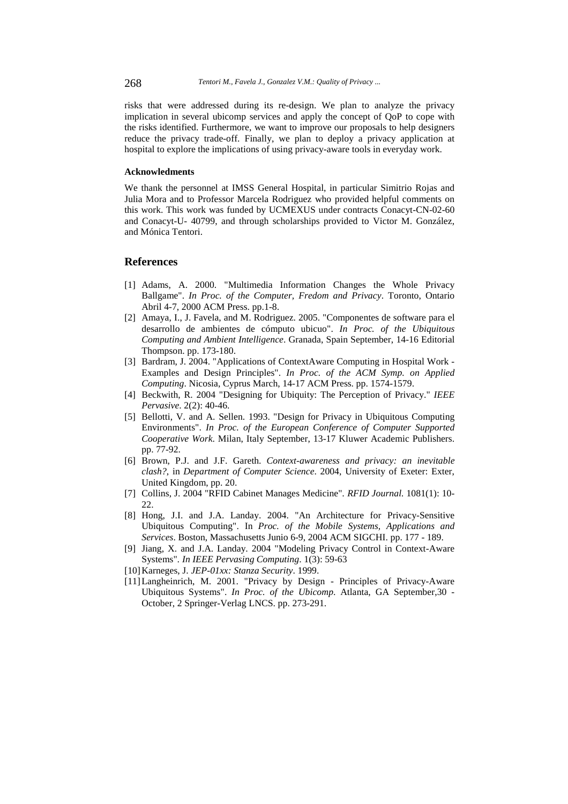risks that were addressed during its re-design. We plan to analyze the privacy implication in several ubicomp services and apply the concept of QoP to cope with the risks identified. Furthermore, we want to improve our proposals to help designers reduce the privacy trade-off. Finally, we plan to deploy a privacy application at hospital to explore the implications of using privacy-aware tools in everyday work.

#### **Acknowledments**

We thank the personnel at IMSS General Hospital, in particular Simitrio Rojas and Julia Mora and to Professor Marcela Rodriguez who provided helpful comments on this work. This work was funded by UCMEXUS under contracts Conacyt-CN-02-60 and Conacyt-U- 40799, and through scholarships provided to Victor M. González, and Mónica Tentori.

# **References**

- [1] Adams, A. 2000. "Multimedia Information Changes the Whole Privacy Ballgame". *In Proc. of the Computer, Fredom and Privacy*. Toronto, Ontario Abril 4-7, 2000 ACM Press. pp.1-8.
- [2] Amaya, I., J. Favela, and M. Rodriguez. 2005. "Componentes de software para el desarrollo de ambientes de cómputo ubicuo". *In Proc. of the Ubiquitous Computing and Ambient Intelligence*. Granada, Spain September, 14-16 Editorial Thompson. pp. 173-180.
- [3] Bardram, J. 2004. "Applications of ContextAware Computing in Hospital Work Examples and Design Principles". *In Proc. of the ACM Symp. on Applied Computing*. Nicosia, Cyprus March, 14-17 ACM Press. pp. 1574-1579.
- [4] Beckwith, R. 2004 "Designing for Ubiquity: The Perception of Privacy." *IEEE Pervasive*. 2(2): 40-46.
- [5] Bellotti, V. and A. Sellen. 1993. "Design for Privacy in Ubiquitous Computing Environments". *In Proc. of the European Conference of Computer Supported Cooperative Work*. Milan, Italy September, 13-17 Kluwer Academic Publishers. pp. 77-92.
- [6] Brown, P.J. and J.F. Gareth. *Context-awareness and privacy: an inevitable clash?*, in *Department of Computer Science*. 2004, University of Exeter: Exter, United Kingdom, pp. 20.
- [7] Collins, J. 2004 "RFID Cabinet Manages Medicine"*. RFID Journal.* 1081(1): 10- 22.
- [8] Hong, J.I. and J.A. Landay. 2004. "An Architecture for Privacy-Sensitive Ubiquitous Computing". In *Proc. of the Mobile Systems, Applications and Services*. Boston, Massachusetts Junio 6-9, 2004 ACM SIGCHI. pp. 177 - 189.
- [9] Jiang, X. and J.A. Landay. 2004 "Modeling Privacy Control in Context-Aware Systems"*. In IEEE Pervasing Computing*. 1(3): 59-63
- [10] Karneges, J. *JEP-01xx: Stanza Security*. 1999.
- [11] Langheinrich, M. 2001. "Privacy by Design Principles of Privacy-Aware Ubiquitous Systems". *In Proc. of the Ubicomp*. Atlanta, GA September,30 - October, 2 Springer-Verlag LNCS. pp. 273-291.